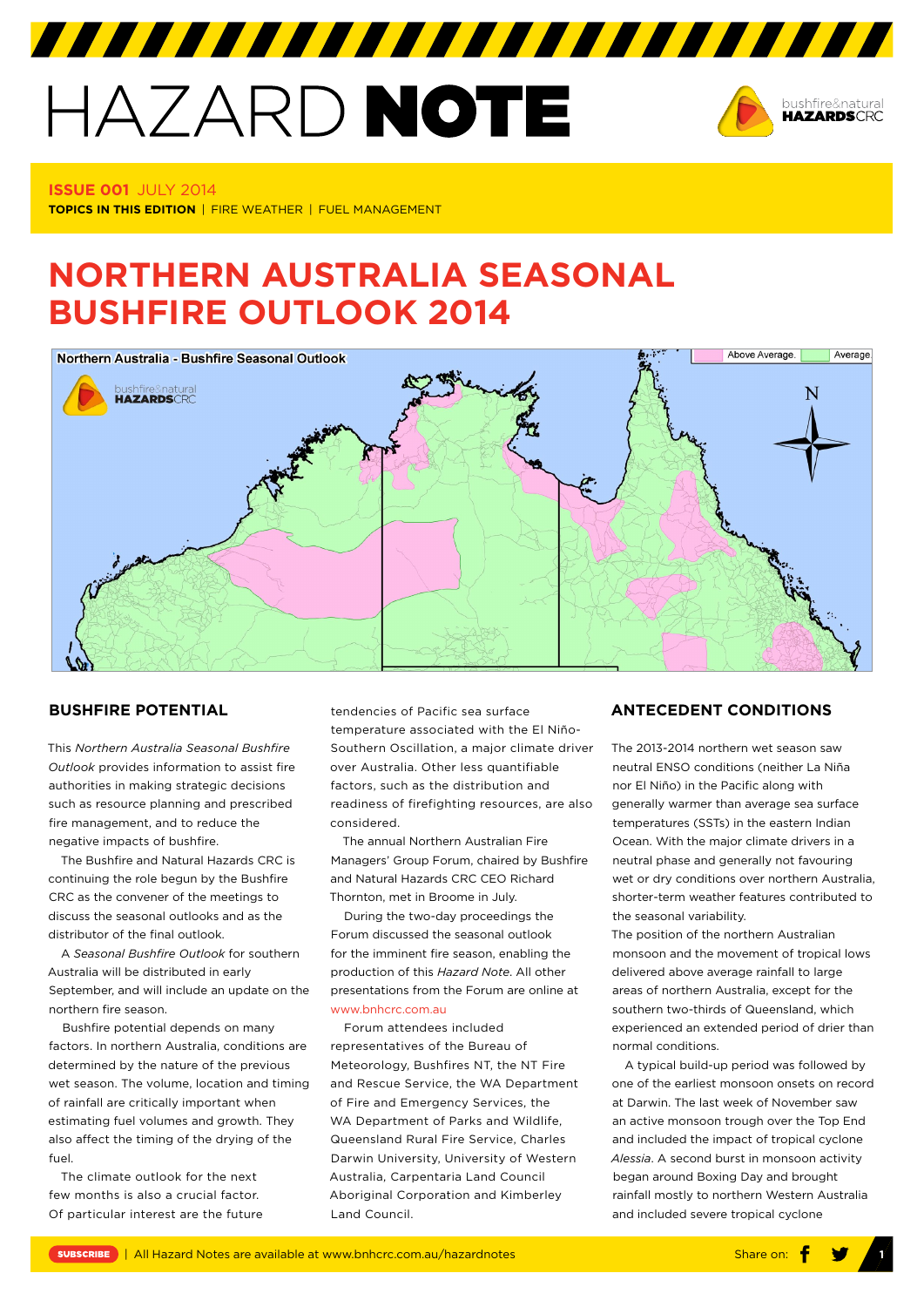# HAZARD NOTE



# **Issue 001** July 2014

**TOPICS IN THIS EDITION** | FIRE WEATHER | FUEL MANAGEMENT

# **NORTHERN AUSTRALIA SEASONAL BUSHFIRE OUTLOOK 2014**



# **BUSHFIRE POTENTIAL**

This *Northern Australia Seasonal Bushfire Outlook* provides information to assist fire authorities in making strategic decisions such as resource planning and prescribed fire management, and to reduce the negative impacts of bushfire.

The Bushfire and Natural Hazards CRC is continuing the role begun by the Bushfire CRC as the convener of the meetings to discuss the seasonal outlooks and as the distributor of the final outlook.

A *Seasonal Bushfire Outlook* for southern Australia will be distributed in early September, and will include an update on the northern fire season.

Bushfire potential depends on many factors. In northern Australia, conditions are determined by the nature of the previous wet season. The volume, location and timing of rainfall are critically important when estimating fuel volumes and growth. They also affect the timing of the drying of the fuel.

The climate outlook for the next few months is also a crucial factor. Of particular interest are the future tendencies of Pacific sea surface temperature associated with the El Niño-Southern Oscillation, a major climate driver over Australia. Other less quantifiable factors, such as the distribution and readiness of firefighting resources, are also considered.

The annual Northern Australian Fire Managers' Group Forum, chaired by Bushfire and Natural Hazards CRC CEO Richard Thornton, met in Broome in July.

During the two-day proceedings the Forum discussed the seasonal outlook for the imminent fire season, enabling the production of this *Hazard Note*. All other presentations from the Forum are online at www.bnhcrc.com.au

Forum attendees included representatives of the Bureau of Meteorology, Bushfires NT, the NT Fire and Rescue Service, the WA Department of Fire and Emergency Services, the WA Department of Parks and Wildlife Queensland Rural Fire Service, Charles Darwin University, University of Western Australia, Carpentaria Land Council Aboriginal Corporation and Kimberley Land Council.

### **Antecedent Conditions**

The 2013-2014 northern wet season saw neutral ENSO conditions (neither La Niña nor El Niño) in the Pacific along with generally warmer than average sea surface temperatures (SSTs) in the eastern Indian Ocean. With the major climate drivers in a neutral phase and generally not favouring wet or dry conditions over northern Australia, shorter-term weather features contributed to the seasonal variability.

The position of the northern Australian monsoon and the movement of tropical lows delivered above average rainfall to large areas of northern Australia, except for the southern two-thirds of Queensland, which experienced an extended period of drier than normal conditions.

A typical build-up period was followed by one of the earliest monsoon onsets on record at Darwin. The last week of November saw an active monsoon trough over the Top End and included the impact of tropical cyclone *Alessia*. A second burst in monsoon activity began around Boxing Day and brought rainfall mostly to northern Western Australia and included severe tropical cyclone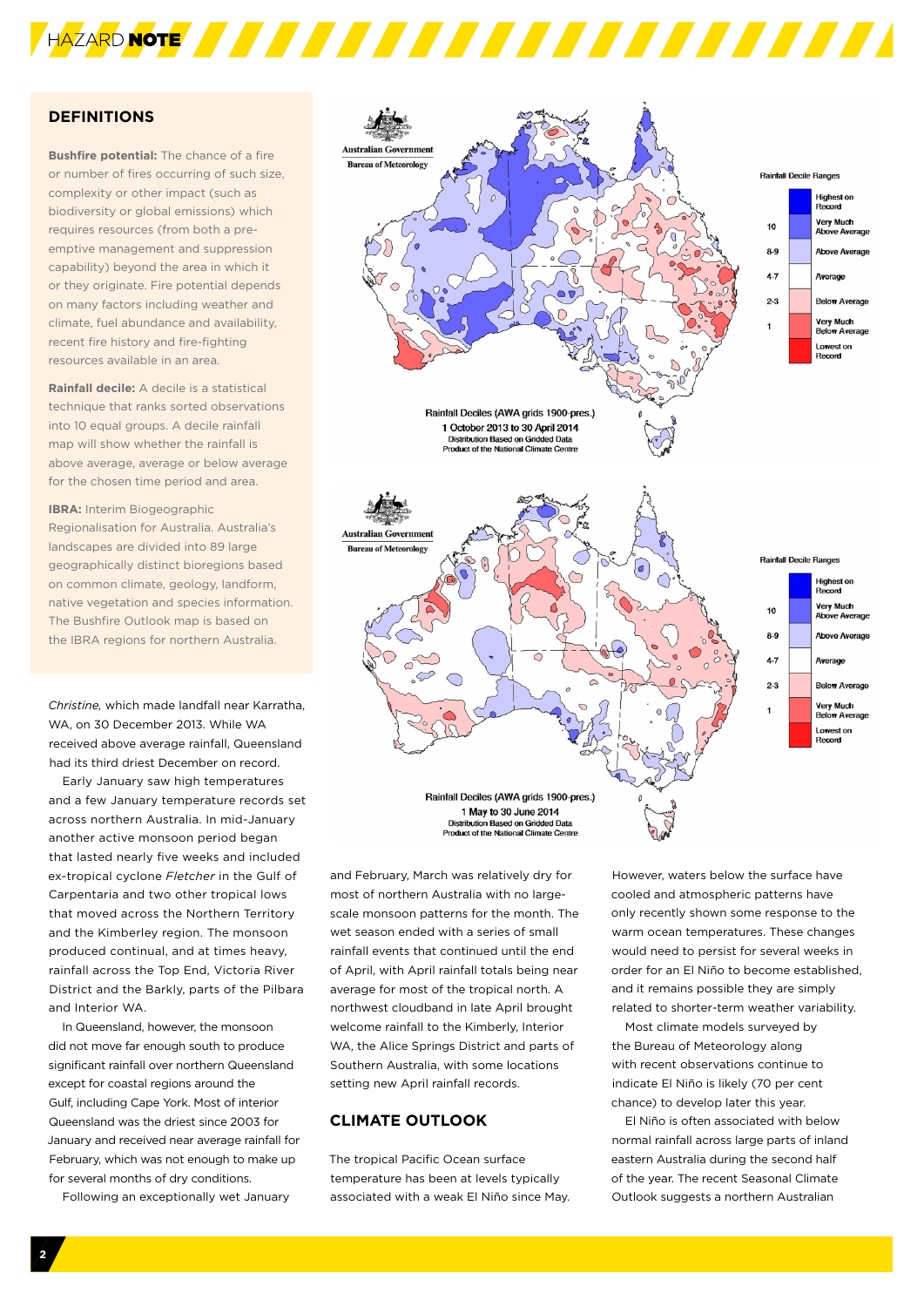

# **DEFINITIONS**

**Bushfire potential:** The chance of a fire or number of fires occurring of such size, complexity or other impact (such as biodiversity or global emissions) which requires resources (from both a preemptive management and suppression capability) beyond the area in which it or they originate. Fire potential depends on many factors including weather and climate, fuel abundance and availability, recent fire history and fire-fighting resources available in an area.

**Rainfall decile:** A decile is a statistical technique that ranks sorted observations into 10 equal groups. A decile rainfall map will show whether the rainfall is above average, average or below average for the chosen time period and area.

**IBRA:** Interim Biogeographic Regionalisation for Australia. Australia's landscapes are divided into 89 large geographically distinct bioregions based on common climate, geology, landform, native vegetation and species information. The Bushfire Outlook map is based on the IBRA regions for northern Australia.

*Christine,* which made landfall near Karratha, WA, on 30 December 2013. While WA received above average rainfall, Queensland had its third driest December on record.

Early January saw high temperatures and a few January temperature records set across northern Australia. In mid-January another active monsoon period began that lasted nearly five weeks and included ex-tropical cyclone *Fletcher* in the Gulf of Carpentaria and two other tropical lows that moved across the Northern Territory and the Kimberley region. The monsoon produced continual, and at times heavy, rainfall across the Top End, Victoria River District and the Barkly, parts of the Pilbara and Interior WA.

In Queensland, however, the monsoon did not move far enough south to produce significant rainfall over northern Queensland except for coastal regions around the Gulf, including Cape York. Most of interior Queensland was the driest since 2003 for January and received near average rainfall for February, which was not enough to make up for several months of dry conditions.

Following an exceptionally wet January



and February, March was relatively dry for most of northern Australia with no largescale monsoon patterns for the month. The wet season ended with a series of small rainfall events that continued until the end of April, with April rainfall totals being near average for most of the tropical north. A northwest cloudband in late April brought welcome rainfall to the Kimberly, Interior WA, the Alice Springs District and parts of Southern Australia, with some locations setting new April rainfall records.

# **Climate Outlook**

The tropical Pacific Ocean surface temperature has been at levels typically associated with a weak El Niño since May.

However, waters below the surface have cooled and atmospheric patterns have only recently shown some response to the warm ocean temperatures. These changes would need to persist for several weeks in order for an El Niño to become established, and it remains possible they are simply related to shorter-term weather variability.

Most climate models surveyed by the Bureau of Meteorology along with recent observations continue to indicate El Niño is likely (70 per cent chance) to develop later this year.

El Niño is often associated with below normal rainfall across large parts of inland eastern Australia during the second half of the year. The recent Seasonal Climate Outlook suggests a northern Australian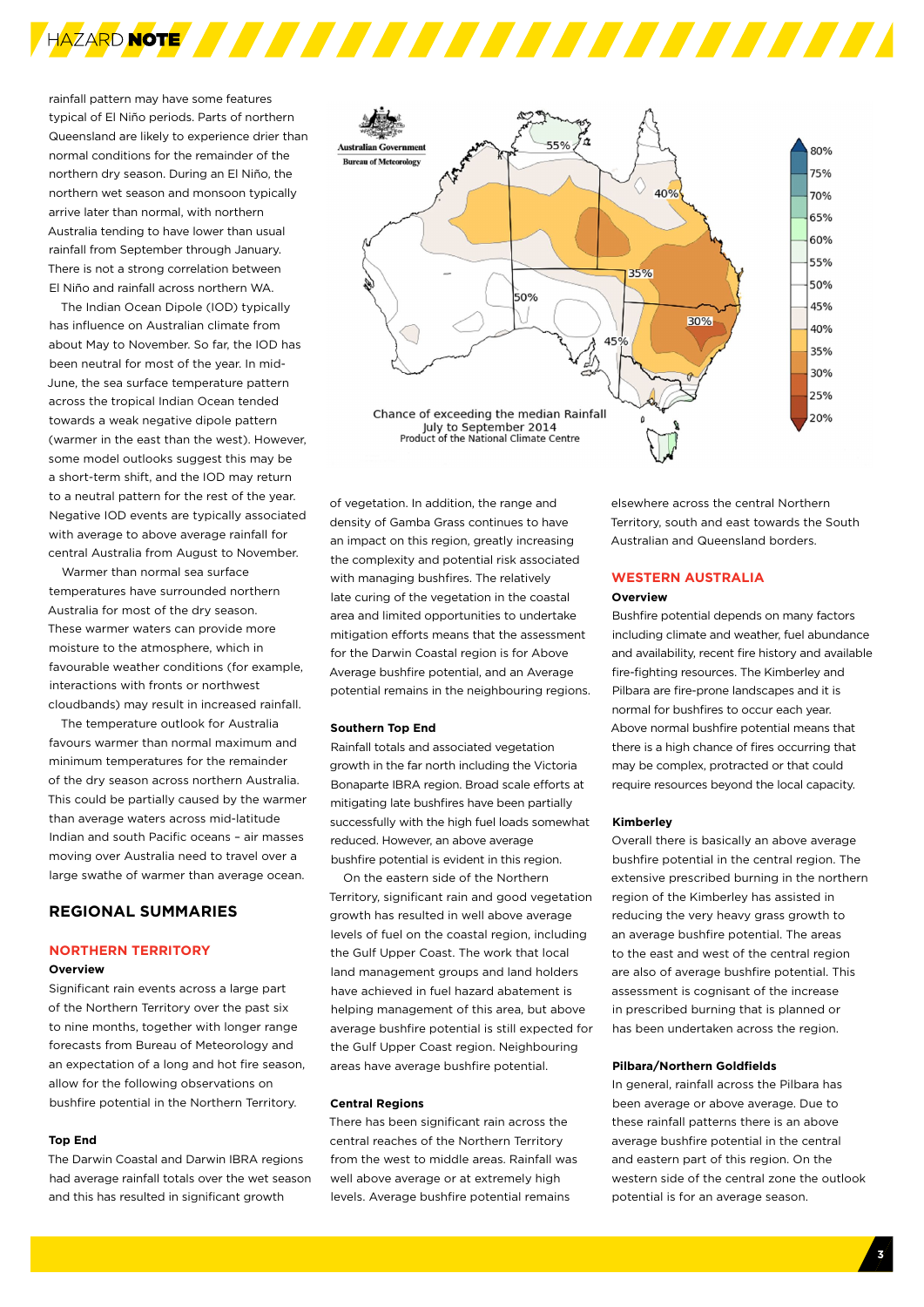

rainfall pattern may have some features typical of El Niño periods. Parts of northern Queensland are likely to experience drier than normal conditions for the remainder of the northern dry season. During an El Niño, the northern wet season and monsoon typically arrive later than normal, with northern Australia tending to have lower than usual rainfall from September through January. There is not a strong correlation between El Niño and rainfall across northern WA.

The Indian Ocean Dipole (IOD) typically has influence on Australian climate from about May to November. So far, the IOD has been neutral for most of the year. In mid-June, the sea surface temperature pattern across the tropical Indian Ocean tended towards a weak negative dipole pattern (warmer in the east than the west). However, some model outlooks suggest this may be a short-term shift, and the IOD may return to a neutral pattern for the rest of the year. Negative IOD events are typically associated with average to above average rainfall for central Australia from August to November.

Warmer than normal sea surface temperatures have surrounded northern Australia for most of the dry season. These warmer waters can provide more moisture to the atmosphere, which in favourable weather conditions (for example, interactions with fronts or northwest cloudbands) may result in increased rainfall.

The temperature outlook for Australia favours warmer than normal maximum and minimum temperatures for the remainder of the dry season across northern Australia. This could be partially caused by the warmer than average waters across mid-latitude Indian and south Pacific oceans – air masses moving over Australia need to travel over a large swathe of warmer than average ocean.

## **Regional Summaries**

#### **Northern Territory**

#### **Overview**

Significant rain events across a large part of the Northern Territory over the past six to nine months, together with longer range forecasts from Bureau of Meteorology and an expectation of a long and hot fire season, allow for the following observations on bushfire potential in the Northern Territory.

#### **Top End**

The Darwin Coastal and Darwin IBRA regions had average rainfall totals over the wet season and this has resulted in significant growth



of vegetation. In addition, the range and density of Gamba Grass continues to have an impact on this region, greatly increasing the complexity and potential risk associated with managing bushfires. The relatively late curing of the vegetation in the coastal area and limited opportunities to undertake mitigation efforts means that the assessment for the Darwin Coastal region is for Above Average bushfire potential, and an Average potential remains in the neighbouring regions.

#### **Southern Top End**

Rainfall totals and associated vegetation growth in the far north including the Victoria Bonaparte IBRA region. Broad scale efforts at mitigating late bushfires have been partially successfully with the high fuel loads somewhat reduced. However, an above average bushfire potential is evident in this region.

On the eastern side of the Northern Territory, significant rain and good vegetation growth has resulted in well above average levels of fuel on the coastal region, including the Gulf Upper Coast. The work that local land management groups and land holders have achieved in fuel hazard abatement is helping management of this area, but above average bushfire potential is still expected for the Gulf Upper Coast region. Neighbouring areas have average bushfire potential.

#### **Central Regions**

There has been significant rain across the central reaches of the Northern Territory from the west to middle areas. Rainfall was well above average or at extremely high levels. Average bushfire potential remains

elsewhere across the central Northern Territory, south and east towards the South Australian and Queensland borders.

#### **Western Australia Overview**

Bushfire potential depends on many factors including climate and weather, fuel abundance and availability, recent fire history and available fire-fighting resources. The Kimberley and Pilbara are fire-prone landscapes and it is normal for bushfires to occur each year. Above normal bushfire potential means that there is a high chance of fires occurring that may be complex, protracted or that could require resources beyond the local capacity.

#### **Kimberley**

Overall there is basically an above average bushfire potential in the central region. The extensive prescribed burning in the northern region of the Kimberley has assisted in reducing the very heavy grass growth to an average bushfire potential. The areas to the east and west of the central region are also of average bushfire potential. This assessment is cognisant of the increase in prescribed burning that is planned or has been undertaken across the region.

#### **Pilbara/Northern Goldfields**

In general, rainfall across the Pilbara has been average or above average. Due to these rainfall patterns there is an above average bushfire potential in the central and eastern part of this region. On the western side of the central zone the outlook potential is for an average season.